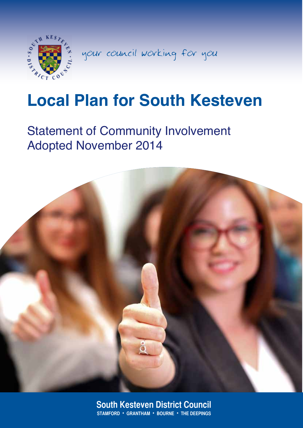

your council working for you

# **Local Plan for South Kesteven**

## Statement of Community Involvement Adopted November 2014



1 **STAMFORD** • **GRANTHAM** • **BOURNE** • **THE DEEPINGS South Kesteven District Council**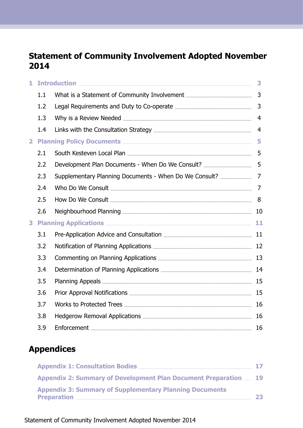## **Statement of Community Involvement Adopted November 2014**

| 1              |     |                                           | 3              |
|----------------|-----|-------------------------------------------|----------------|
|                | 1.1 |                                           | 3              |
|                | 1.2 |                                           | 3              |
|                | 1.3 |                                           | $\overline{4}$ |
|                | 1.4 |                                           | $\overline{4}$ |
| $\overline{2}$ |     |                                           | 5              |
|                | 2.1 |                                           | 5              |
|                | 2.2 |                                           | 5              |
|                | 2.3 |                                           | $\overline{7}$ |
|                | 2.4 |                                           | 7              |
|                | 2.5 |                                           | 8              |
|                | 2.6 |                                           |                |
| 3              |     | Planning Applications <b>Elections</b> 21 |                |
|                | 3.1 |                                           |                |
|                | 3.2 |                                           |                |
|                | 3.3 |                                           |                |
|                | 3.4 |                                           |                |
|                | 3.5 |                                           |                |
|                | 3.6 |                                           |                |
|                | 3.7 |                                           | 16             |
|                | 3.8 |                                           | 16             |
|                | 3.9 |                                           | 16             |

## **Appendices**

|                                                                                       | 17 |
|---------------------------------------------------------------------------------------|----|
| Appendix 2: Summary of Development Plan Document Preparation  19                      |    |
| <b>Appendix 3: Summary of Supplementary Planning Documents</b><br><b>Preparation </b> | 23 |

Statement of Community Involvement Adopted November 2014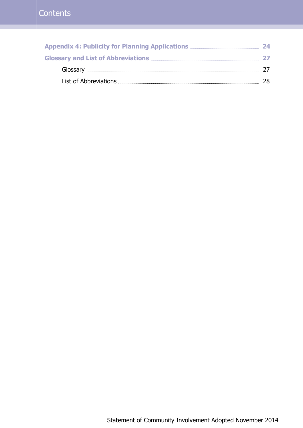| 24  |
|-----|
| -27 |
|     |
| 28. |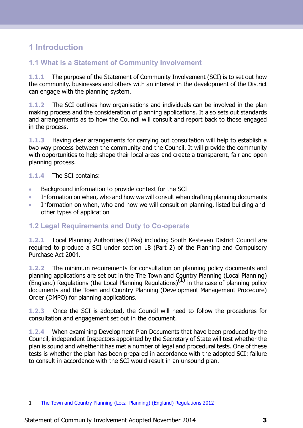## <span id="page-3-0"></span>**1 Introduction**

#### <span id="page-3-1"></span>**1.1 What is a Statement of Community Involvement**

**1.1.1** The purpose of the Statement of Community Involvement (SCI) is to set out how the community, businesses and others with an interest in the development of the District can engage with the planning system.

**1.1.2** The SCI outlines how organisations and individuals can be involved in the plan making process and the consideration of planning applications. It also sets out standards and arrangements as to how the Council will consult and report back to those engaged in the process.

**1.1.3** Having clear arrangements for carrying out consultation will help to establish a two way process between the community and the Council. It will provide the community with opportunities to help shape their local areas and create a transparent, fair and open planning process.

#### **1.1.4** The SCI contains:

- Background information to provide context for the SCI  $\blacksquare$
- Information on when, who and how we will consult when drafting planning documents  $\bullet$
- <span id="page-3-2"></span>Information on when, who and how we will consult on planning, listed building and  $\sim$ other types of application

#### **1.2 Legal Requirements and Duty to Co-operate**

**1.2.1** Local Planning Authorities (LPAs) including South Kesteven District Council are required to produce a SCI under section 18 (Part 2) of the Planning and Compulsory Purchase Act 2004.

**1.2.2** The minimum requirements for consultation on planning policy documents and planning applications are set out in the The Town and Country Planning (Local Planning) (England) Regulations (the Local Planning Regulations)**(1)** in the case of planning policy documents and the Town and Country Planning (Development Management Procedure) Order (DMPO) for planning applications.

**1.2.3** Once the SCI is adopted, the Council will need to follow the procedures for consultation and engagement set out in the document.

**1.2.4** When examining Development Plan Documents that have been produced by the Council, independent Inspectors appointed by the Secretary of State will test whether the plan is sound and whether it has met a number of legal and procedural tests. One of these tests is whether the plan has been prepared in accordance with the adopted SCI: failure to consult in accordance with the SCI would result in an unsound plan.

<sup>1</sup> The Town and Country Planning (Local Planning) (England) [Regulations](http://www.legislation.gov.uk/uksi/2012/767/contents/made) 2012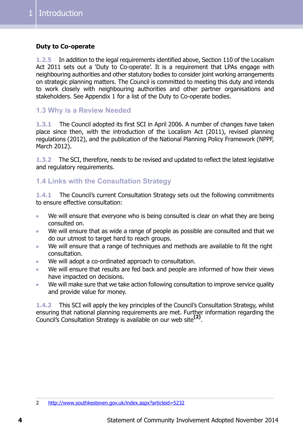#### **Duty to Co-operate**

**1.2.5** In addition to the legal requirements identified above, Section 110 of the Localism Act 2011 sets out a 'Duty to Co-operate'. It is a requirement that LPAs engage with neighbouring authorities and other statutory bodies to consider joint working arrangements on strategic planning matters. The Council is committed to meeting this duty and intends to work closely with neighbouring authorities and other partner organisations and stakeholders. See Appendix 1 for a list of the Duty to Co-operate bodies.

#### <span id="page-4-0"></span>**1.3 Why is a Review Needed**

**1.3.1** The Council adopted its first SCI in April 2006. A number of changes have taken place since then, with the introduction of the Localism Act (2011), revised planning regulations (2012), and the publication of the National Planning Policy Framework (NPPF, March 2012).

<span id="page-4-1"></span>**1.3.2** The SCI, therefore, needs to be revised and updated to reflect the latest legislative and regulatory requirements.

#### **1.4 Links with the Consultation Strategy**

**1.4.1** The Council's current Consultation Strategy sets out the following commitments to ensure effective consultation:

- We will ensure that everyone who is being consulted is clear on what they are being  $\mathbf{r}$ consulted on.
- We will ensure that as wide a range of people as possible are consulted and that we  $\bullet$ do our utmost to target hard to reach groups.
- We will ensure that a range of techniques and methods are available to fit the right  $\bullet$ consultation.
- We will adopt a co-ordinated approach to consultation.  $\blacksquare$
- We will ensure that results are fed back and people are informed of how their views  $\bullet$ have impacted on decisions.
- We will make sure that we take action following consultation to improve service quality  $\blacksquare$ and provide value for money.

**1.4.2** This SCI will apply the key principles of the Council's Consultation Strategy, whilst ensuring that national planning requirements are met. Further information regarding the Council's Consultation Strategy is available on our web site**(2)** .

<sup>2</sup> <http://www.southkesteven.gov.uk/index.aspx?articleid=5232>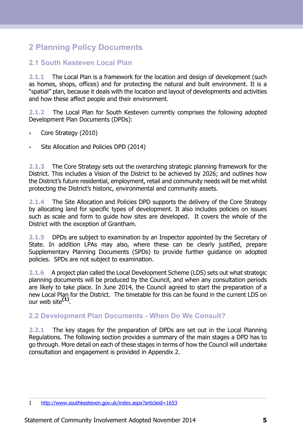## <span id="page-5-0"></span>**2 Planning Policy Documents**

#### <span id="page-5-1"></span>**2.1 South Kesteven Local Plan**

**2.1.1** The Local Plan is a framework for the location and design of development (such as homes, shops, offices) and for protecting the natural and built environment. It is a "spatial" plan, because it deals with the location and layout of developments and activities and how these affect people and their environment.

**2.1.2** The Local Plan for South Kesteven currently comprises the following adopted Development Plan Documents (DPDs):

- Core Strategy (2010)  $\bullet$
- Site Allocation and Policies DPD (2014)  $\bullet$

**2.1.3** The Core Strategy sets out the overarching strategic planning framework for the District. This includes a Vision of the District to be achieved by 2026; and outlines how the District's future residential, employment, retail and community needs will be met whilst protecting the District's historic, environmental and community assets.

**2.1.4** The Site Allocation and Policies DPD supports the delivery of the Core Strategy by allocating land for specific types of development. It also includes policies on issues such as scale and form to guide how sites are developed. It covers the whole of the District with the exception of Grantham.

**2.1.5** DPDs are subject to examination by an Inspector appointed by the Secretary of State. In addition LPAs may also, where these can be clearly justified, prepare Supplementary Planning Documents (SPDs) to provide further guidance on adopted policies. SPDs are not subject to examination.

<span id="page-5-2"></span>**2.1.6** A project plan called the Local Development Scheme (LDS) sets out what strategic planning documents will be produced by the Council, and when any consultation periods are likely to take place. In June 2014, the Council agreed to start the preparation of a new Local Plan for the District. The timetable for this can be found in the current LDS on our web site**(1)** .

#### **2.2 Development Plan Documents - When Do We Consult?**

**2.2.1** The key stages for the preparation of DPDs are set out in the Local Planning Regulations. The following section provides a summary of the main stages a DPD has to go through. More detail on each of these stages in terms of how the Council will undertake consultation and engagement is provided in Appendix 2.

<sup>1</sup> [http://www.southkesteven.gov.uk/index.aspx?articleid=1653](http://www.southkesteven.gov.uk)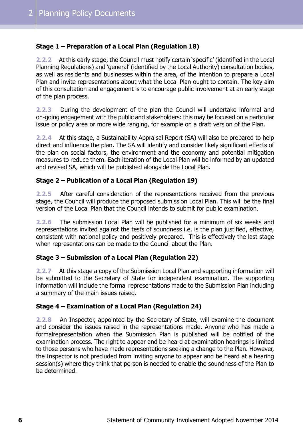#### **Stage 1 – Preparation of a Local Plan (Regulation 18)**

**2.2.2** At this early stage, the Council must notify certain 'specific' (identified in the Local Planning Regulations) and 'general' (identified by the Local Authority) consultation bodies, as well as residents and businesses within the area, of the intention to prepare a Local Plan and invite representations about what the Local Plan ought to contain. The key aim of this consultation and engagement is to encourage public involvement at an early stage of the plan process.

**2.2.3** During the development of the plan the Council will undertake informal and on-going engagement with the public and stakeholders: this may be focused on a particular issue or policy area or more wide ranging, for example on a draft version of the Plan.

**2.2.4** At this stage, a Sustainability Appraisal Report (SA) will also be prepared to help direct and influence the plan. The SA will identify and consider likely significant effects of the plan on social factors, the environment and the economy and potential mitigation measures to reduce them. Each iteration of the Local Plan will be informed by an updated and revised SA, which will be published alongside the Local Plan.

#### **Stage 2 – Publication of a Local Plan (Regulation 19)**

**2.2.5** After careful consideration of the representations received from the previous stage, the Council will produce the proposed submission Local Plan. This will be the final version of the Local Plan that the Council intends to submit for public examination.

**2.2.6** The submission Local Plan will be published for a minimum of six weeks and representations invited against the tests of soundness i.e. is the plan justified, effective, consistent with national policy and positively prepared. This is effectively the last stage when representations can be made to the Council about the Plan.

#### **Stage 3 – Submission of a Local Plan (Regulation 22)**

**2.2.7** At this stage a copy of the Submission Local Plan and supporting information will be submitted to the Secretary of State for independent examination. The supporting information will include the formal representations made to the Submission Plan including a summary of the main issues raised.

#### **Stage 4 – Examination of a Local Plan (Regulation 24)**

**2.2.8** An Inspector, appointed by the Secretary of State, will examine the document and consider the issues raised in the representations made. Anyone who has made a formalrepresentation when the Submission Plan is published will be notified of the examination process. The right to appear and be heard at examination hearings is limited to those persons who have made representations seeking a change to the Plan. However, the Inspector is not precluded from inviting anyone to appear and be heard at a hearing session(s) where they think that person is needed to enable the soundness of the Plan to be determined.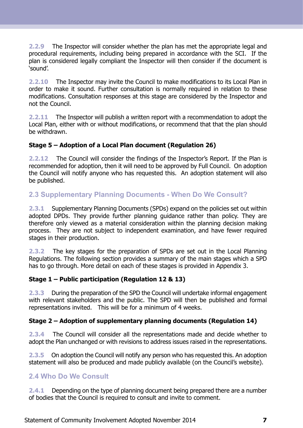**2.2.9** The Inspector will consider whether the plan has met the appropriate legal and procedural requirements, including being prepared in accordance with the SCI. If the plan is considered legally compliant the Inspector will then consider if the document is 'sound'.

**2.2.10** The Inspector may invite the Council to make modifications to its Local Plan in order to make it sound. Further consultation is normally required in relation to these modifications. Consultation responses at this stage are considered by the Inspector and not the Council.

**2.2.11** The Inspector will publish a written report with a recommendation to adopt the Local Plan, either with or without modifications, or recommend that that the plan should be withdrawn.

#### **Stage 5 – Adoption of a Local Plan document (Regulation 26)**

<span id="page-7-0"></span>**2.2.12** The Council will consider the findings of the Inspector's Report. If the Plan is recommended for adoption, then it will need to be approved by Full Council. On adoption the Council will notify anyone who has requested this. An adoption statement will also be published.

#### **2.3 Supplementary Planning Documents - When Do We Consult?**

**2.3.1** Supplementary Planning Documents (SPDs) expand on the policies set out within adopted DPDs. They provide further planning guidance rather than policy. They are therefore only viewed as a material consideration within the planning decision making process. They are not subject to independent examination, and have fewer required stages in their production.

**2.3.2** The key stages for the preparation of SPDs are set out in the Local Planning Regulations. The following section provides a summary of the main stages which a SPD has to go through. More detail on each of these stages is provided in Appendix 3.

#### **Stage 1 – Public participation (Regulation 12 & 13)**

**2.3.3** During the preparation of the SPD the Council will undertake informal engagement with relevant stakeholders and the public. The SPD will then be published and formal representations invited. This will be for a minimum of 4 weeks.

#### **Stage 2 – Adoption of supplementary planning documents (Regulation 14)**

<span id="page-7-1"></span>**2.3.4** The Council will consider all the representations made and decide whether to adopt the Plan unchanged or with revisions to address issues raised in the representations.

**2.3.5** On adoption the Council will notify any person who has requested this. An adoption statement will also be produced and made publicly available (on the Council's website).

#### **2.4 Who Do We Consult**

**2.4.1** Depending on the type of planning document being prepared there are a number of bodies that the Council is required to consult and invite to comment.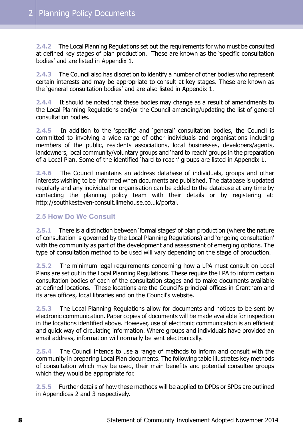**2.4.2** The Local Planning Regulations set out the requirements for who must be consulted at defined key stages of plan production. These are known as the 'specific consultation bodies' and are listed in Appendix 1.

**2.4.3** The Council also has discretion to identify a number of other bodies who represent certain interests and may be appropriate to consult at key stages. These are known as the 'general consultation bodies' and are also listed in Appendix 1.

**2.4.4** It should be noted that these bodies may change as a result of amendments to the Local Planning Regulations and/or the Council amending/updating the list of general consultation bodies.

**2.4.5** In addition to the 'specific' and 'general' consultation bodies, the Council is committed to involving a wide range of other individuals and organisations including members of the public, residents associations, local businesses, developers/agents, landowners, local community/voluntary groups and 'hard to reach' groups in the preparation of a Local Plan. Some of the identified 'hard to reach' groups are listed in Appendix 1.

**2.4.6** The Council maintains an address database of individuals, groups and other interests wishing to be informed when documents are published. The database is updated regularly and any individual or organisation can be added to the database at any time by contacting the planning policy team with their details or by registering at: http://southkesteven-consult.limehouse.co.uk/portal.

#### <span id="page-8-0"></span>**2.5 How Do We Consult**

**2.5.1** There is a distinction between 'formal stages' of plan production (where the nature of consultation is governed by the Local Planning Regulations) and 'ongoing consultation' with the community as part of the development and assessment of emerging options. The type of consultation method to be used will vary depending on the stage of production.

**2.5.2** The minimum legal requirements concerning how a LPA must consult on Local Plans are set out in the Local Planning Regulations. These require the LPA to inform certain consultation bodies of each of the consultation stages and to make documents available at defined locations. These locations are the Council's principal offices in Grantham and its area offices, local libraries and on the Council's website.

**2.5.3** The Local Planning Regulations allow for documents and notices to be sent by electronic communication. Paper copies of documents will be made available for inspection in the locations identified above. However, use of electronic communication is an efficient and quick way of circulating information. Where groups and individuals have provided an email address, information will normally be sent electronically.

**2.5.4** The Council intends to use a range of methods to inform and consult with the community in preparing Local Plan documents. The following table illustrates key methods of consultation which may be used, their main benefits and potential consultee groups which they would be appropriate for.

**2.5.5** Further details of how these methods will be applied to DPDs or SPDs are outlined in Appendices 2 and 3 respectively.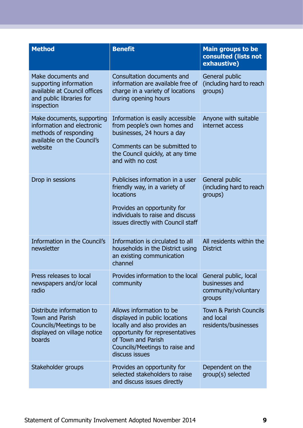| <b>Method</b>                                                                                                              | <b>Benefit</b>                                                                                                                                                                                         | <b>Main groups to be</b><br>consulted (lists not<br>exhaustive)          |
|----------------------------------------------------------------------------------------------------------------------------|--------------------------------------------------------------------------------------------------------------------------------------------------------------------------------------------------------|--------------------------------------------------------------------------|
| Make documents and<br>supporting information<br>available at Council offices<br>and public libraries for<br>inspection     | Consultation documents and<br>information are available free of<br>charge in a variety of locations<br>during opening hours                                                                            | General public<br>(including hard to reach<br>groups)                    |
| Make documents, supporting<br>information and electronic<br>methods of responding<br>available on the Council's<br>website | Information is easily accessible<br>from people's own homes and<br>businesses, 24 hours a day<br>Comments can be submitted to<br>the Council quickly, at any time<br>and with no cost                  | Anyone with suitable<br>internet access                                  |
| Drop in sessions                                                                                                           | Publicises information in a user<br>friendly way, in a variety of<br><b>locations</b><br>Provides an opportunity for<br>individuals to raise and discuss<br>issues directly with Council staff         | General public<br>(including hard to reach<br>groups)                    |
| Information in the Council's<br>newsletter                                                                                 | Information is circulated to all<br>households in the District using<br>an existing communication<br>channel                                                                                           | All residents within the<br><b>District</b>                              |
| Press releases to local<br>newspapers and/or local<br>radio                                                                | Provides information to the local<br>community                                                                                                                                                         | General public, local<br>businesses and<br>community/voluntary<br>groups |
| Distribute information to<br><b>Town and Parish</b><br>Councils/Meetings to be<br>displayed on village notice<br>boards    | Allows information to be<br>displayed in public locations<br>locally and also provides an<br>opportunity for representatives<br>of Town and Parish<br>Councils/Meetings to raise and<br>discuss issues | <b>Town &amp; Parish Councils</b><br>and local<br>residents/businesses   |
| Stakeholder groups                                                                                                         | Provides an opportunity for<br>selected stakeholders to raise<br>and discuss issues directly                                                                                                           | Dependent on the<br>group(s) selected                                    |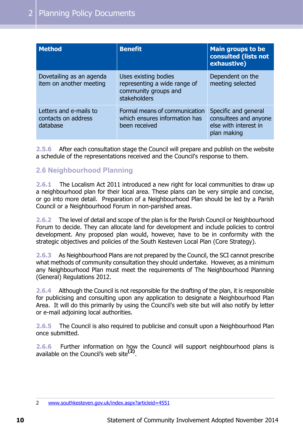| <b>Method</b>                                             | <b>Benefit</b>                                                                               | <b>Main groups to be</b><br>consulted (lists not<br>exhaustive)                       |
|-----------------------------------------------------------|----------------------------------------------------------------------------------------------|---------------------------------------------------------------------------------------|
| Dovetailing as an agenda<br>item on another meeting       | Uses existing bodies<br>representing a wide range of<br>community groups and<br>stakeholders | Dependent on the<br>meeting selected                                                  |
| Letters and e-mails to<br>contacts on address<br>database | Formal means of communication<br>which ensures information has<br>been received              | Specific and general<br>consultees and anyone<br>else with interest in<br>plan making |

<span id="page-10-0"></span>**2.5.6** After each consultation stage the Council will prepare and publish on the website a schedule of the representations received and the Council's response to them.

#### **2.6 Neighbourhood Planning**

**2.6.1** The Localism Act 2011 introduced a new right for local communities to draw up a neighbourhood plan for their local area. These plans can be very simple and concise, or go into more detail. Preparation of a Neighbourhood Plan should be led by a Parish Council or a Neighbourhood Forum in non-parished areas.

**2.6.2** The level of detail and scope of the plan is for the Parish Council or Neighbourhood Forum to decide. They can allocate land for development and include policies to control development. Any proposed plan would, however, have to be in conformity with the strategic objectives and policies of the South Kesteven Local Plan (Core Strategy).

**2.6.3** As Neighbourhood Plans are not prepared by the Council, the SCI cannot prescribe what methods of community consultation they should undertake. However, as a minimum any Neighbourhood Plan must meet the requirements of The Neighbourhood Planning (General) Regulations 2012.

**2.6.4** Although the Council is not responsible for the drafting of the plan, it is responsible for publicising and consulting upon any application to designate a Neighbourhood Plan Area. It will do this primarily by using the Council's web site but will also notify by letter or e-mail adjoining local authorities.

**2.6.5** The Council is also required to publicise and consult upon a Neighbourhood Plan once submitted.

**2.6.6** Further information on how the Council will support neighbourhood plans is available on the Council's web site**(2)** .

<sup>2</sup> [www.southkesteven.gov.uk/index.aspx?articleid=4551](http://www.southkesteven.gov.uk/index.aspx?articleid=4551)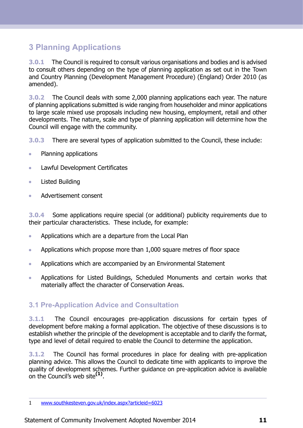## <span id="page-11-0"></span>**3 Planning Applications**

**3.0.1** The Council is required to consult various organisations and bodies and is advised to consult others depending on the type of planning application as set out in the Town and Country Planning (Development Management Procedure) (England) Order 2010 (as amended).

**3.0.2** The Council deals with some 2,000 planning applications each year. The nature of planning applications submitted is wide ranging from householder and minor applications to large scale mixed use proposals including new housing, employment, retail and other developments. The nature, scale and type of planning application will determine how the Council will engage with the community.

**3.0.3** There are several types of application submitted to the Council, these include:

- Planning applications  $\bullet$
- Lawful Development Certificates  $\bullet$
- Listed Building  $\bullet$
- Advertisement consent

**3.0.4** Some applications require special (or additional) publicity requirements due to their particular characteristics. These include, for example:

- Applications which are a departure from the Local Plan  $\bullet$
- Applications which propose more than 1,000 square metres of floor space  $\blacksquare$
- Applications which are accompanied by an Environmental Statement  $\bullet$
- <span id="page-11-1"></span>Applications for Listed Buildings, Scheduled Monuments and certain works that  $\bullet$ materially affect the character of Conservation Areas.

#### **3.1 Pre-Application Advice and Consultation**

**3.1.1** The Council encourages pre-application discussions for certain types of development before making a formal application. The objective of these discussions is to establish whether the principle of the development is acceptable and to clarify the format, type and level of detail required to enable the Council to determine the application.

**3.1.2** The Council has formal procedures in place for dealing with pre-application planning advice. This allows the Council to dedicate time with applicants to improve the quality of development schemes. Further guidance on pre-application advice is available on the Council's web site**(1)** .

<sup>1</sup> [www.southkesteven.gov.uk/index.aspx?articleid=6023](http://www.southkesteven.gov.uk/index.aspx?articleid=6023)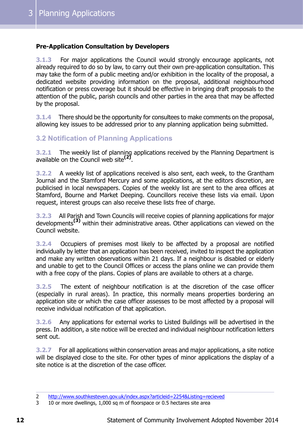#### **Pre-Application Consultation by Developers**

**3.1.3** For major applications the Council would strongly encourage applicants, not already required to do so by law, to carry out their own pre-application consultation. This may take the form of a public meeting and/or exhibition in the locality of the proposal, a dedicated website providing information on the proposal, additional neighbourhood notification or press coverage but it should be effective in bringing draft proposals to the attention of the public, parish councils and other parties in the area that may be affected by the proposal.

<span id="page-12-0"></span>**3.1.4** There should be the opportunity for consultees to make comments on the proposal, allowing key issues to be addressed prior to any planning application being submitted.

#### **3.2 Notification of Planning Applications**

**3.2.1** The weekly list of planning applications received by the Planning Department is available on the Council web site**(2)** .

**3.2.2** A weekly list of applications received is also sent, each week, to the Grantham Journal and the Stamford Mercury and some applications, at the editors discretion, are publicised in local newspapers. Copies of the weekly list are sent to the area offices at Stamford, Bourne and Market Deeping. Councillors receive these lists via email. Upon request, interest groups can also receive these lists free of charge.

**3.2.3** All Parish and Town Councils will receive copies of planning applications for major developments**(3)** within their administrative areas. Other applications can viewed on the Council website.

**3.2.4** Occupiers of premises most likely to be affected by a proposal are notified individually by letter that an application has been received, invited to inspect the application and make any written observations within 21 days. If a neighbour is disabled or elderly and unable to get to the Council Offices or access the plans online we can provide them with a free copy of the plans. Copies of plans are available to others at a charge.

**3.2.5** The extent of neighbour notification is at the discretion of the case officer (especially in rural areas). In practice, this normally means properties bordering an application site or which the case officer assesses to be most affected by a proposal will receive individual notification of that application.

**3.2.6** Any applications for external works to Listed Buildings will be advertised in the press. In addition, a site notice will be erected and individual neighbour notification letters sent out.

**3.2.7** For all applications within conservation areas and major applications, a site notice will be displayed close to the site. For other types of minor applications the display of a site notice is at the discretion of the case officer.

<sup>2</sup> <http://www.southkesteven.gov.uk/index.aspx?articleid=2254&Listing=recieved>

<sup>3</sup> 10 or more dwellings, 1,000 sq m of floorspace or 0.5 hectares site area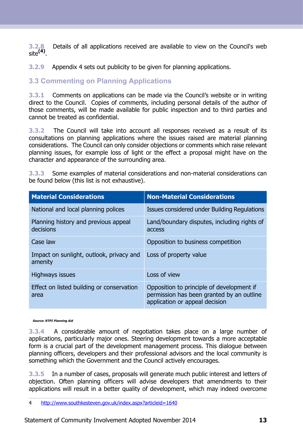**3.2.8** Details of all applications received are available to view on the Council's web site**(4)** .

<span id="page-13-0"></span>**3.2.9** Appendix 4 sets out publicity to be given for planning applications.

#### **3.3 Commenting on Planning Applications**

**3.3.1** Comments on applications can be made via the Council's website or in writing direct to the Council. Copies of comments, including personal details of the author of those comments, will be made available for public inspection and to third parties and cannot be treated as confidential.

**3.3.2** The Council will take into account all responses received as a result of its consultations on planning applications where the issues raised are material planning considerations. The Council can only consider objections or comments which raise relevant planning issues, for example loss of light or the effect a proposal might have on the character and appearance of the surrounding area.

**3.3.3** Some examples of material considerations and non-material considerations can be found below (this list is not exhaustive).

| <b>Material Considerations</b>                      | <b>Non-Material Considerations</b>                                                                                       |
|-----------------------------------------------------|--------------------------------------------------------------------------------------------------------------------------|
| National and local planning polices                 | Issues considered under Building Regulations                                                                             |
| Planning history and previous appeal<br>decisions   | Land/boundary disputes, including rights of<br>access                                                                    |
| Case law                                            | Opposition to business competition                                                                                       |
| Impact on sunlight, outlook, privacy and<br>amenity | Loss of property value                                                                                                   |
| <b>Highways issues</b>                              | Loss of view                                                                                                             |
| Effect on listed building or conservation<br>area   | Opposition to principle of development if<br>permission has been granted by an outline<br>application or appeal decision |

**Source: RTPI Planning Aid**

**3.3.4** A considerable amount of negotiation takes place on a large number of applications, particularly major ones. Steering development towards a more acceptable form is a crucial part of the development management process. This dialogue between planning officers, developers and their professional advisors and the local community is something which the Government and the Council actively encourages.

**3.3.5** In a number of cases, proposals will generate much public interest and letters of objection. Often planning officers will advise developers that amendments to their applications will result in a better quality of development, which may indeed overcome

<sup>4</sup> <http://www.southkesteven.gov.uk/index.aspx?articleid=1640>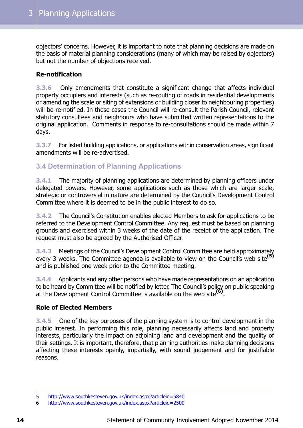objectors' concerns. However, it is important to note that planning decisions are made on the basis of material planning considerations (many of which may be raised by objectors) but not the number of objections received.

#### **Re-notification**

**3.3.6** Only amendments that constitute a significant change that affects individual property occupiers and interests (such as re-routing of roads in residential developments or amending the scale or siting of extensions or building closer to neighbouring properties) will be re-notified. In these cases the Council will re-consult the Parish Council, relevant statutory consultees and neighbours who have submitted written representations to the original application. Comments in response to re-consultations should be made within 7 days.

<span id="page-14-0"></span>**3.3.7** For listed building applications, or applications within conservation areas, significant amendments will be re-advertised.

#### **3.4 Determination of Planning Applications**

**3.4.1** The majority of planning applications are determined by planning officers under delegated powers. However, some applications such as those which are larger scale, strategic or controversial in nature are determined by the Council's Development Control Committee where it is deemed to be in the public interest to do so.

**3.4.2** The Council's Constitution enables elected Members to ask for applications to be referred to the Development Control Committee. Any request must be based on planning grounds and exercised within 3 weeks of the date of the receipt of the application. The request must also be agreed by the Authorised Officer.

**3.4.3** Meetings of the Council's Development Control Committee are held approximately every 3 weeks. The Committee agenda is available to view on the Council's web site**(5)** and is published one week prior to the Committee meeting.

**3.4.4** Applicants and any other persons who have made representations on an application to be heard by Committee will be notified by letter. The Council's policy on public speaking at the Development Control Committee is available on the web site**(6)** .

#### **Role of Elected Members**

**3.4.5** One of the key purposes of the planning system is to control development in the public interest. In performing this role, planning necessarily affects land and property interests, particularly the impact on adjoining land and development and the quality of their settings. It is important, therefore, that planning authorities make planning decisions affecting these interests openly, impartially, with sound judgement and for justifiable reasons.

<sup>5</sup> <http://www.southkesteven.gov.uk/index.aspx?articleid=5840>

<sup>6</sup> <http://www.southkesteven.gov.uk/index.aspx?articleid=2500>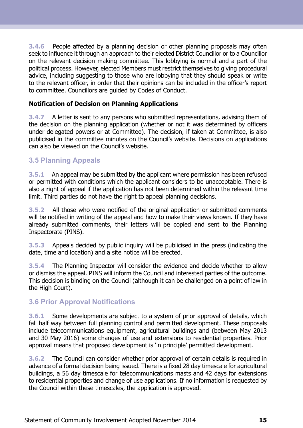**3.4.6** People affected by a planning decision or other planning proposals may often seek to influence it through an approach to their elected District Councillor or to a Councillor on the relevant decision making committee. This lobbying is normal and a part of the political process. However, elected Members must restrict themselves to giving procedural advice, including suggesting to those who are lobbying that they should speak or write to the relevant officer, in order that their opinions can be included in the officer's report to committee. Councillors are guided by Codes of Conduct.

#### **Notification of Decision on Planning Applications**

**3.4.7** A letter is sent to any persons who submitted representations, advising them of the decision on the planning application (whether or not it was determined by officers under delegated powers or at Committee). The decision, if taken at Committee, is also publicised in the committee minutes on the Council's website. Decisions on applications can also be viewed on the Council's website.

#### <span id="page-15-0"></span>**3.5 Planning Appeals**

**3.5.1** An appeal may be submitted by the applicant where permission has been refused or permitted with conditions which the applicant considers to be unacceptable. There is also a right of appeal if the application has not been determined within the relevant time limit. Third parties do not have the right to appeal planning decisions.

**3.5.2** All those who were notified of the original application or submitted comments will be notified in writing of the appeal and how to make their views known. If they have already submitted comments, their letters will be copied and sent to the Planning Inspectorate (PINS).

**3.5.3** Appeals decided by public inquiry will be publicised in the press (indicating the date, time and location) and a site notice will be erected.

<span id="page-15-1"></span>**3.5.4** The Planning Inspector will consider the evidence and decide whether to allow or dismiss the appeal. PINS will inform the Council and interested parties of the outcome. This decision is binding on the Council (although it can be challenged on a point of law in the High Court).

#### **3.6 Prior Approval Notifications**

**3.6.1** Some developments are subject to a system of prior approval of details, which fall half way between full planning control and permitted development. These proposals include telecommunications equipment, agricultural buildings and (between May 2013 and 30 May 2016) some changes of use and extensions to residential properties. Prior approval means that proposed development is 'in principle' permitted development.

**3.6.2** The Council can consider whether prior approval of certain details is required in advance of a formal decision being issued. There is a fixed 28 day timescale for agricultural buildings, a 56 day timescale for telecommunications masts and 42 days for extensions to residential properties and change of use applications. If no information is requested by the Council within these timescales, the application is approved.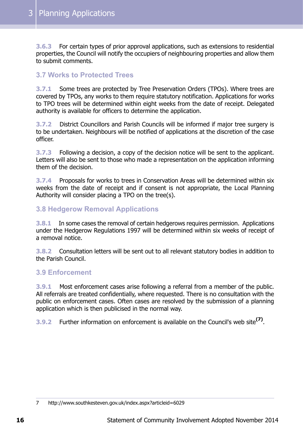**3.6.3** For certain types of prior approval applications, such as extensions to residential properties, the Council will notify the occupiers of neighbouring properties and allow them to submit comments.

#### <span id="page-16-0"></span>**3.7 Works to Protected Trees**

**3.7.1** Some trees are protected by Tree Preservation Orders (TPOs). Where trees are covered by TPOs, any works to them require statutory notification. Applications for works to TPO trees will be determined within eight weeks from the date of receipt. Delegated authority is available for officers to determine the application.

**3.7.2** District Councillors and Parish Councils will be informed if major tree surgery is to be undertaken. Neighbours will be notified of applications at the discretion of the case officer.

**3.7.3** Following a decision, a copy of the decision notice will be sent to the applicant. Letters will also be sent to those who made a representation on the application informing them of the decision.

<span id="page-16-1"></span>**3.7.4** Proposals for works to trees in Conservation Areas will be determined within six weeks from the date of receipt and if consent is not appropriate, the Local Planning Authority will consider placing a TPO on the tree(s).

#### **3.8 Hedgerow Removal Applications**

**3.8.1** In some cases the removal of certain hedgerows requires permission. Applications under the Hedgerow Regulations 1997 will be determined within six weeks of receipt of a removal notice.

<span id="page-16-2"></span>**3.8.2** Consultation letters will be sent out to all relevant statutory bodies in addition to the Parish Council.

#### **3.9 Enforcement**

**3.9.1** Most enforcement cases arise following a referral from a member of the public. All referrals are treated confidentially, where requested. There is no consultation with the public on enforcement cases. Often cases are resolved by the submission of a planning application which is then publicised in the normal way.

**3.9.2** Further information on enforcement is available on the Council's web site**(7)** .

<sup>7</sup> http://www.southkesteven.gov.uk/index.aspx?articleid=6029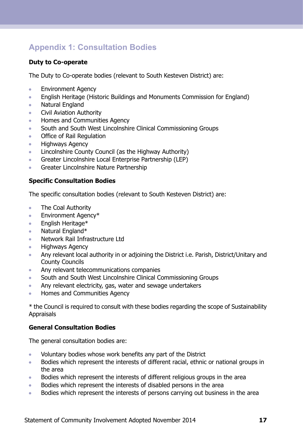## <span id="page-17-0"></span>**Appendix 1: Consultation Bodies**

#### **Duty to Co-operate**

The Duty to Co-operate bodies (relevant to South Kesteven District) are:

- Environment Agency  $\bullet$
- English Heritage (Historic Buildings and Monuments Commission for England)  $\bullet$
- Natural England  $\bullet$
- Civil Aviation Authority  $\bullet$
- Homes and Communities Agency  $\bullet$
- South and South West Lincolnshire Clinical Commissioning Groups ö
- Office of Rail Regulation  $\blacksquare$
- Highways Agency  $\bullet$
- Lincolnshire County Council (as the Highway Authority)  $\blacksquare$
- Greater Lincolnshire Local Enterprise Partnership (LEP)  $\bullet$
- Greater Lincolnshire Nature Partnership  $\bullet$

#### **Specific Consultation Bodies**

The specific consultation bodies (relevant to South Kesteven District) are:

- $\bullet$ The Coal Authority
- Environment Agency\*  $\bullet$
- English Heritage\*  $\bullet$
- Natural England\*  $\bullet$
- Network Rail Infrastructure Ltd  $\bullet$
- $\bullet$ Highways Agency
- Any relevant local authority in or adjoining the District i.e. Parish, District/Unitary and  $\blacksquare$ County Councils
- $\bullet$ Any relevant telecommunications companies
- South and South West Lincolnshire Clinical Commissioning Groups  $\bullet$
- Any relevant electricity, gas, water and sewage undertakers  $\bullet$
- Homes and Communities Agency  $\bullet$

\* the Council is required to consult with these bodies regarding the scope of Sustainability Appraisals

#### **General Consultation Bodies**

The general consultation bodies are:

- Voluntary bodies whose work benefits any part of the District  $\bullet$
- Bodies which represent the interests of different racial, ethnic or national groups in  $\bullet$ the area
- Bodies which represent the interests of different religious groups in the area  $\Delta$
- Bodies which represent the interests of disabled persons in the area  $\bullet$
- Bodies which represent the interests of persons carrying out business in the area  $\bullet$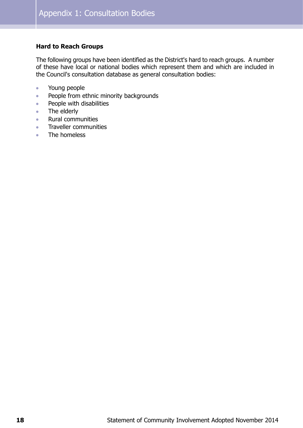#### **Hard to Reach Groups**

The following groups have been identified as the District's hard to reach groups. A number of these have local or national bodies which represent them and which are included in the Council's consultation database as general consultation bodies:

- Young people  $\bullet$
- People from ethnic minority backgrounds  $\bullet$
- People with disabilities  $\bullet$
- The elderly  $\bullet$
- Rural communities  $\bullet$
- Traveller communities  $\bullet$
- The homeless  $\bullet$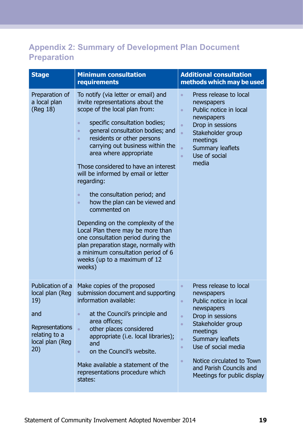## <span id="page-19-0"></span>**Appendix 2: Summary of Development Plan Document Preparation**

| <b>Minimum consultation</b><br>requirements                                                                                                                                                                                                                                                                                                                                                                                                                                                                                                                                                                                                                                                                                                                         | <b>Additional consultation</b><br>methods which may be used                                                                                                                                                                                                                                                                                                    |
|---------------------------------------------------------------------------------------------------------------------------------------------------------------------------------------------------------------------------------------------------------------------------------------------------------------------------------------------------------------------------------------------------------------------------------------------------------------------------------------------------------------------------------------------------------------------------------------------------------------------------------------------------------------------------------------------------------------------------------------------------------------------|----------------------------------------------------------------------------------------------------------------------------------------------------------------------------------------------------------------------------------------------------------------------------------------------------------------------------------------------------------------|
| To notify (via letter or email) and<br>invite representations about the<br>scope of the local plan from:<br>specific consultation bodies;<br>$\bullet$<br>general consultation bodies; and<br>$\bullet$<br>residents or other persons<br>$\bullet$<br>carrying out business within the<br>area where appropriate<br>Those considered to have an interest<br>will be informed by email or letter<br>regarding:<br>the consultation period; and<br>$\bullet$<br>how the plan can be viewed and<br>$\bullet$<br>commented on<br>Depending on the complexity of the<br>Local Plan there may be more than<br>one consultation period during the<br>plan preparation stage, normally with<br>a minimum consultation period of 6<br>weeks (up to a maximum of 12<br>weeks) | Press release to local<br>$\bullet$<br>newspapers<br>Public notice in local<br>$\bullet$<br>newspapers<br>Drop in sessions<br>$\bullet$<br>Stakeholder group<br>$\bullet$<br>meetings<br>Summary leaflets<br>$\bullet$<br>Use of social<br>$\bullet$<br>media                                                                                                  |
| Make copies of the proposed<br>submission document and supporting<br>information available:<br>at the Council's principle and<br>$\bullet$<br>area offices;<br>other places considered<br>$\bullet$<br>appropriate (i.e. local libraries);<br>and<br>on the Council's website.<br>$\bullet$<br>Make available a statement of the<br>representations procedure which                                                                                                                                                                                                                                                                                                                                                                                                 | Press release to local<br>$\bullet$<br>newspapers<br>Public notice in local<br>$\bullet$<br>newspapers<br>Drop in sessions<br>$\bullet$<br>Stakeholder group<br>$\bullet$<br>meetings<br>Summary leaflets<br>$\bullet$<br>Use of social media<br>$\bullet$<br>Notice circulated to Town<br>$\bullet$<br>and Parish Councils and<br>Meetings for public display |
|                                                                                                                                                                                                                                                                                                                                                                                                                                                                                                                                                                                                                                                                                                                                                                     | states:                                                                                                                                                                                                                                                                                                                                                        |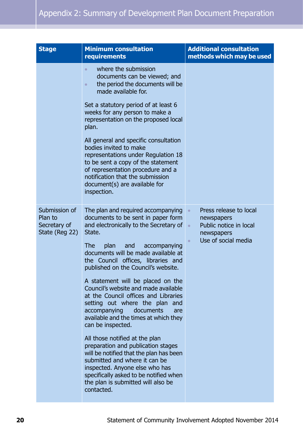| <b>Stage</b>                                               | <b>Minimum consultation</b><br>requirements                                                                                                                                                                                                                                                                                                                                                                                                                                                                                                                                                                                                                                                                | <b>Additional consultation</b><br>methods which may be used                                                                                |
|------------------------------------------------------------|------------------------------------------------------------------------------------------------------------------------------------------------------------------------------------------------------------------------------------------------------------------------------------------------------------------------------------------------------------------------------------------------------------------------------------------------------------------------------------------------------------------------------------------------------------------------------------------------------------------------------------------------------------------------------------------------------------|--------------------------------------------------------------------------------------------------------------------------------------------|
|                                                            | where the submission<br>$\bullet$<br>documents can be viewed; and<br>the period the documents will be<br>$\bullet$<br>made available for.                                                                                                                                                                                                                                                                                                                                                                                                                                                                                                                                                                  |                                                                                                                                            |
|                                                            | Set a statutory period of at least 6<br>weeks for any person to make a<br>representation on the proposed local<br>plan.                                                                                                                                                                                                                                                                                                                                                                                                                                                                                                                                                                                    |                                                                                                                                            |
|                                                            | All general and specific consultation<br>bodies invited to make<br>representations under Regulation 18<br>to be sent a copy of the statement<br>of representation procedure and a<br>notification that the submission<br>document(s) are available for<br>inspection.                                                                                                                                                                                                                                                                                                                                                                                                                                      |                                                                                                                                            |
| Submission of<br>Plan to<br>Secretary of<br>State (Reg 22) | The plan and required accompanying<br>documents to be sent in paper form<br>and electronically to the Secretary of<br>State.<br><b>The</b><br>plan<br>accompanying<br>and<br>documents will be made available at<br>the Council offices, libraries and<br>published on the Council's website.<br>A statement will be placed on the<br>Council's website and made available<br>at the Council offices and Libraries<br>setting out where the plan and<br>accompanying<br>documents<br>are<br>available and the times at which they<br>can be inspected.<br>All those notified at the plan<br>preparation and publication stages<br>will be notified that the plan has been<br>submitted and where it can be | Press release to local<br>$\bullet$<br>newspapers<br>Public notice in local<br>$\bullet$<br>newspapers<br>Use of social media<br>$\bullet$ |
|                                                            | inspected. Anyone else who has<br>specifically asked to be notified when<br>the plan is submitted will also be<br>contacted.                                                                                                                                                                                                                                                                                                                                                                                                                                                                                                                                                                               |                                                                                                                                            |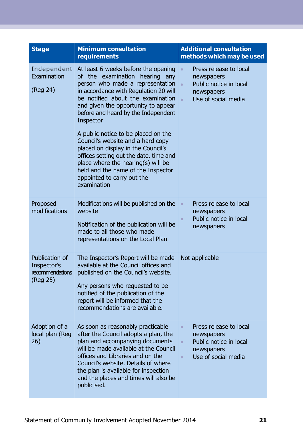| <b>Stage</b>                                                 | <b>Minimum consultation</b><br>requirements                                                                                                                                                                                                                                                                                                                                                                                                                                                                                                                             | <b>Additional consultation</b><br>methods which may be used                                                                                |
|--------------------------------------------------------------|-------------------------------------------------------------------------------------------------------------------------------------------------------------------------------------------------------------------------------------------------------------------------------------------------------------------------------------------------------------------------------------------------------------------------------------------------------------------------------------------------------------------------------------------------------------------------|--------------------------------------------------------------------------------------------------------------------------------------------|
| Independent<br>Examination<br>(Reg 24)                       | At least 6 weeks before the opening<br>of the examination hearing any<br>person who made a representation<br>in accordance with Regulation 20 will<br>be notified about the examination<br>and given the opportunity to appear<br>before and heard by the Independent<br>Inspector<br>A public notice to be placed on the<br>Council's website and a hard copy<br>placed on display in the Council's<br>offices setting out the date, time and<br>place where the hearing(s) will be<br>held and the name of the Inspector<br>appointed to carry out the<br>examination | Press release to local<br>$\bullet$<br>newspapers<br>Public notice in local<br>$\bullet$<br>newspapers<br>Use of social media<br>$\bullet$ |
| Proposed<br>modifications                                    | Modifications will be published on the<br>website<br>Notification of the publication will be<br>made to all those who made<br>representations on the Local Plan                                                                                                                                                                                                                                                                                                                                                                                                         | Press release to local<br>$\bullet$<br>newspapers<br>Public notice in local<br>$\bullet$<br>newspapers                                     |
| Publication of<br>Inspector's<br>recommendations<br>(Reg 25) | The Inspector's Report will be made<br>available at the Council offices and<br>published on the Council's website.<br>Any persons who requested to be<br>notified of the publication of the<br>report will be informed that the<br>recommendations are available.                                                                                                                                                                                                                                                                                                       | Not applicable                                                                                                                             |
| Adoption of a<br>local plan (Reg<br>26)                      | As soon as reasonably practicable<br>after the Council adopts a plan, the<br>plan and accompanying documents<br>will be made available at the Council<br>offices and Libraries and on the<br>Council's website. Details of where<br>the plan is available for inspection<br>and the places and times will also be<br>publicised.                                                                                                                                                                                                                                        | Press release to local<br>$\bullet$<br>newspapers<br>Public notice in local<br>$\bullet$<br>newspapers<br>Use of social media<br>$\bullet$ |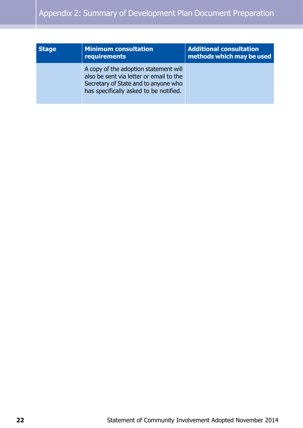| <b>Stage</b> | <b>Minimum consultation</b><br>requirements                                                                                                                        | <b>Additional consultation</b><br>methods which may be used |
|--------------|--------------------------------------------------------------------------------------------------------------------------------------------------------------------|-------------------------------------------------------------|
|              | A copy of the adoption statement will<br>also be sent via letter or email to the<br>Secretary of State and to anyone who<br>has specifically asked to be notified. |                                                             |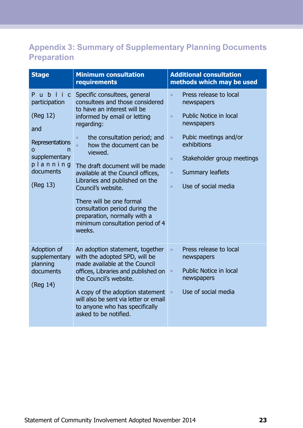## <span id="page-23-0"></span>**Appendix 3: Summary of Supplementary Planning Documents Preparation**

| <b>Stage</b>                                                                                                                      | <b>Minimum consultation</b><br>requirements                                                                                                                                                                                                                                                                                                                                                                                                                                                                              | <b>Additional consultation</b><br>methods which may be used                                                                                                                                                                                                                               |
|-----------------------------------------------------------------------------------------------------------------------------------|--------------------------------------------------------------------------------------------------------------------------------------------------------------------------------------------------------------------------------------------------------------------------------------------------------------------------------------------------------------------------------------------------------------------------------------------------------------------------------------------------------------------------|-------------------------------------------------------------------------------------------------------------------------------------------------------------------------------------------------------------------------------------------------------------------------------------------|
| ublic<br>P<br>participation<br>(Reg 12)<br>and<br>Representations<br>0<br>n<br>supplementary<br>planning<br>documents<br>(Reg 13) | Specific consultees, general<br>consultees and those considered<br>to have an interest will be<br>informed by email or letting<br>regarding:<br>the consultation period; and<br>$\bullet$<br>how the document can be<br>$\bullet$<br>viewed.<br>The draft document will be made<br>available at the Council offices,<br>Libraries and published on the<br>Council's website.<br>There will be one formal<br>consultation period during the<br>preparation, normally with a<br>minimum consultation period of 4<br>weeks. | Press release to local<br>$\bullet$<br>newspapers<br><b>Public Notice in local</b><br>$\bullet$<br>newspapers<br>Pubic meetings and/or<br>$\bullet$<br>exhibitions<br>Stakeholder group meetings<br>$\bullet$<br><b>Summary leaflets</b><br>$\bullet$<br>Use of social media<br>$\bullet$ |
| Adoption of<br>supplementary<br>planning<br>documents<br>(Reg 14)                                                                 | An adoption statement, together<br>with the adopted SPD, will be<br>made available at the Council<br>offices, Libraries and published on<br>the Council's website.<br>A copy of the adoption statement<br>will also be sent via letter or email<br>to anyone who has specifically<br>asked to be notified.                                                                                                                                                                                                               | Press release to local<br>$\bullet$<br>newspapers<br><b>Public Notice in local</b><br>$\bullet$<br>newspapers<br>Use of social media<br>$\bullet$                                                                                                                                         |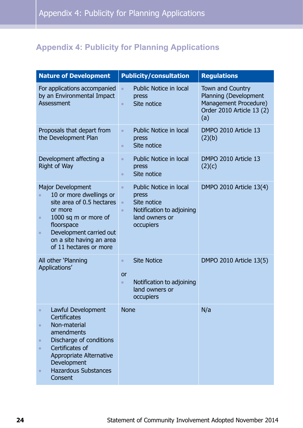## <span id="page-24-0"></span>**Appendix 4: Publicity for Planning Applications**

| <b>Nature of Development</b>                                                                                                                                                                                                                                               | <b>Publicity/consultation</b>                                                                                                                            | <b>Regulations</b>                                                                                            |
|----------------------------------------------------------------------------------------------------------------------------------------------------------------------------------------------------------------------------------------------------------------------------|----------------------------------------------------------------------------------------------------------------------------------------------------------|---------------------------------------------------------------------------------------------------------------|
| For applications accompanied<br>by an Environmental Impact<br>Assessment                                                                                                                                                                                                   | <b>Public Notice in local</b><br>$\bullet$<br>press<br>Site notice<br>$\bullet$                                                                          | <b>Town and Country</b><br>Planning (Development<br>Management Procedure)<br>Order 2010 Article 13 (2)<br>(a) |
| Proposals that depart from<br>the Development Plan                                                                                                                                                                                                                         | <b>Public Notice in local</b><br>$\bullet$<br>press<br>Site notice<br>$\bullet$                                                                          | DMPO 2010 Article 13<br>(2)(b)                                                                                |
| Development affecting a<br><b>Right of Way</b>                                                                                                                                                                                                                             | <b>Public Notice in local</b><br>$\bullet$<br>press<br>Site notice<br>$\bullet$                                                                          | DMPO 2010 Article 13<br>(2)(c)                                                                                |
| Major Development<br>10 or more dwellings or<br>site area of 0.5 hectares<br>or more<br>1000 sq m or more of<br>$\bullet$<br>floorspace<br>Development carried out<br>$\bullet$<br>on a site having an area<br>of 11 hectares or more                                      | <b>Public Notice in local</b><br>$\bullet$<br>press<br>Site notice<br>$\bullet$<br>Notification to adjoining<br>$\bullet$<br>land owners or<br>occupiers | DMPO 2010 Article 13(4)                                                                                       |
| All other 'Planning<br>Applications'                                                                                                                                                                                                                                       | <b>Site Notice</b><br>$\bullet$<br>or<br>Notification to adjoining<br>$\bullet$<br>land owners or<br>occupiers                                           | DMPO 2010 Article 13(5)                                                                                       |
| Lawful Development<br>$\bullet$<br><b>Certificates</b><br>Non-material<br>$\bullet$<br>amendments<br>Discharge of conditions<br>$\bullet$<br>Certificates of<br>$\bullet$<br>Appropriate Alternative<br>Development<br><b>Hazardous Substances</b><br>$\bullet$<br>Consent | <b>None</b>                                                                                                                                              | N/a                                                                                                           |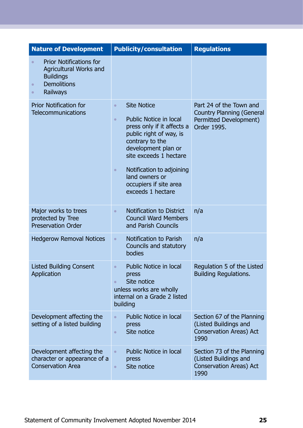| <b>Nature of Development</b>                                                                                                                          | <b>Publicity/consultation</b>                                                                                                                                                                                                                                                                                         | <b>Regulations</b>                                                                                   |
|-------------------------------------------------------------------------------------------------------------------------------------------------------|-----------------------------------------------------------------------------------------------------------------------------------------------------------------------------------------------------------------------------------------------------------------------------------------------------------------------|------------------------------------------------------------------------------------------------------|
| <b>Prior Notifications for</b><br>$\bullet$<br>Agricultural Works and<br><b>Buildings</b><br><b>Demolitions</b><br>$\bullet$<br>Railways<br>$\bullet$ |                                                                                                                                                                                                                                                                                                                       |                                                                                                      |
| <b>Prior Notification for</b><br><b>Telecommunications</b>                                                                                            | <b>Site Notice</b><br>$\bullet$<br><b>Public Notice in local</b><br>$\bullet$<br>press only if it affects a<br>public right of way, is<br>contrary to the<br>development plan or<br>site exceeds 1 hectare<br>Notification to adjoining<br>$\bullet$<br>land owners or<br>occupiers if site area<br>exceeds 1 hectare | Part 24 of the Town and<br><b>Country Planning (General</b><br>Permitted Development)<br>Order 1995. |
| Major works to trees<br>protected by Tree<br><b>Preservation Order</b>                                                                                | Notification to District<br>$\bullet$<br><b>Council Ward Members</b><br>and Parish Councils                                                                                                                                                                                                                           | n/a                                                                                                  |
| <b>Hedgerow Removal Notices</b>                                                                                                                       | Notification to Parish<br>$\bullet$<br>Councils and statutory<br>bodies                                                                                                                                                                                                                                               | n/a                                                                                                  |
| <b>Listed Building Consent</b><br>Application                                                                                                         | Public Notice in local<br>$\bullet$<br>press<br>Site notice<br>$\bullet$<br>unless works are wholly<br>internal on a Grade 2 listed<br>building                                                                                                                                                                       | Regulation 5 of the Listed<br><b>Building Regulations.</b>                                           |
| Development affecting the<br>setting of a listed building                                                                                             | <b>Public Notice in local</b><br>$\bullet$<br>press<br>Site notice<br>$\bullet$                                                                                                                                                                                                                                       | Section 67 of the Planning<br>(Listed Buildings and<br>Conservation Areas) Act<br>1990               |
| Development affecting the<br>character or appearance of a<br><b>Conservation Area</b>                                                                 | Public Notice in local<br>$\bullet$<br>press<br>Site notice<br>$\bullet$                                                                                                                                                                                                                                              | Section 73 of the Planning<br>(Listed Buildings and<br>Conservation Areas) Act<br>1990               |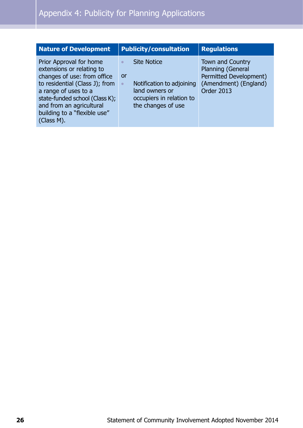| <b>Nature of Development</b>                                                                                                                                                                                                                              | <b>Publicity/consultation</b>                                                                                                                       | <b>Regulations</b>                                                                                            |
|-----------------------------------------------------------------------------------------------------------------------------------------------------------------------------------------------------------------------------------------------------------|-----------------------------------------------------------------------------------------------------------------------------------------------------|---------------------------------------------------------------------------------------------------------------|
| Prior Approval for home<br>extensions or relating to<br>changes of use: from office<br>to residential (Class J); from<br>a range of uses to a<br>state-funded school (Class K);<br>and from an agricultural<br>building to a "flexible use"<br>(Class M). | <b>Site Notice</b><br>$\bullet$<br>or<br>Notification to adjoining<br>$\bullet$<br>land owners or<br>occupiers in relation to<br>the changes of use | Town and Country<br>Planning (General<br>Permitted Development)<br>(Amendment) (England)<br><b>Order 2013</b> |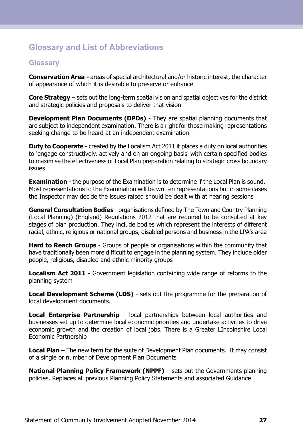## <span id="page-27-0"></span>**Glossary and List of Abbreviations**

#### <span id="page-27-1"></span>**Glossary**

**Conservation Area -** areas of special architectural and/or historic interest, the character of appearance of which it is desirable to preserve or enhance

**Core Strategy** – sets out the long-term spatial vision and spatial objectives for the district and strategic policies and proposals to deliver that vision

**Development Plan Documents (DPDs)** - They are spatial planning documents that are subject to independent examination. There is a right for those making representations seeking change to be heard at an independent examination

**Duty to Cooperate** - created by the Localism Act 2011 it places a duty on local authorities to 'engage constructively, actively and on an ongoing basis' with certain specified bodies to maximise the effectiveness of Local Plan preparation relating to strategic cross boundary issues

**Examination** - the purpose of the Examination is to determine if the Local Plan is sound. Most representations to the Examination will be written representations but in some cases the Inspector may decide the issues raised should be dealt with at hearing sessions

**General Consultation Bodies** - organisations defined by The Town and Country Planning (Local Planning) (England) Regulations 2012 that are required to be consulted at key stages of plan production. They include bodies which represent the interests of different racial, ethnic, religious or national groups, disabled persons and business in the LPA's area

**Hard to Reach Groups** - Groups of people or organisations within the community that have traditionally been more difficult to engage in the planning system. They include older people, religious, disabled and ethnic minority groups

**Localism Act 2011** - Government legislation containing wide range of reforms to the planning system

**Local Development Scheme (LDS)** - sets out the programme for the preparation of local development documents.

**Local Enterprise Partnership** - local partnerships between local authorities and businesses set up to determine local economic priorities and undertake activities to drive economic growth and the creation of local jobs. There is a Greater LIncolnshire Local Economic Partnership

**Local Plan** – The new term for the suite of Development Plan documents. It may consist of a single or number of Development Plan Documents

**National Planning Policy Framework (NPPF)** – sets out the Governments planning policies. Replaces all previous Planning Policy Statements and associated Guidance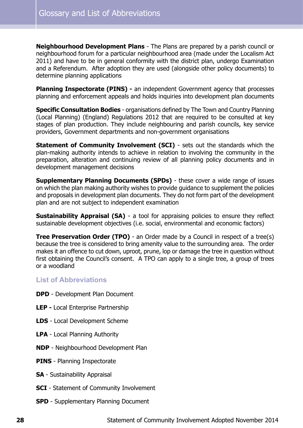**Neighbourhood Development Plans** - The Plans are prepared by a parish council or neighbourhood forum for a particular neighbourhood area (made under the Localism Act 2011) and have to be in general conformity with the district plan, undergo Examination and a Referendum. After adoption they are used (alongside other policy documents) to determine planning applications

**Planning Inspectorate (PINS) -** an independent Government agency that processes planning and enforcement appeals and holds inquiries into development plan documents

**Specific Consultation Bodies** - organisations defined by The Town and Country Planning (Local Planning) (England) Regulations 2012 that are required to be consulted at key stages of plan production. They include neighbouring and parish councils, key service providers, Government departments and non-government organisations

**Statement of Community Involvement (SCI)** - sets out the standards which the plan-making authority intends to achieve in relation to involving the community in the preparation, alteration and continuing review of all planning policy documents and in development management decisions

**Supplementary Planning Documents (SPDs)** - these cover a wide range of issues on which the plan making authority wishes to provide guidance to supplement the policies and proposals in development plan documents. They do not form part of the development plan and are not subject to independent examination

**Sustainability Appraisal (SA)** - a tool for appraising policies to ensure they reflect sustainable development objectives (i.e. social, environmental and economic factors)

<span id="page-28-0"></span>**Tree Preservation Order (TPO)** - an Order made by a Council in respect of a tree(s) because the tree is considered to bring amenity value to the surrounding area. The order makes it an offence to cut down, uproot, prune, lop or damage the tree in question without first obtaining the Council's consent. A TPO can apply to a single tree, a group of trees or a woodland

#### **List of Abbreviations**

- **DPD** Development Plan Document
- **LEP -** Local Enterprise Partnership
- **LDS** Local Development Scheme
- **LPA** Local Planning Authority
- **NDP** Neighbourhood Development Plan
- **PINS** Planning Inspectorate
- **SA** Sustainability Appraisal
- **SCI** Statement of Community Involvement
- **SPD** Supplementary Planning Document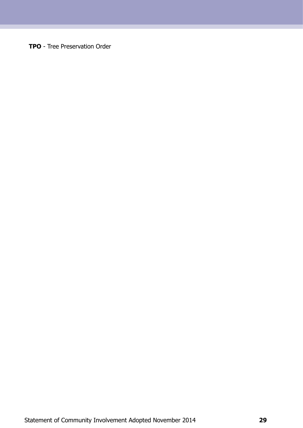**TPO** - Tree Preservation Order